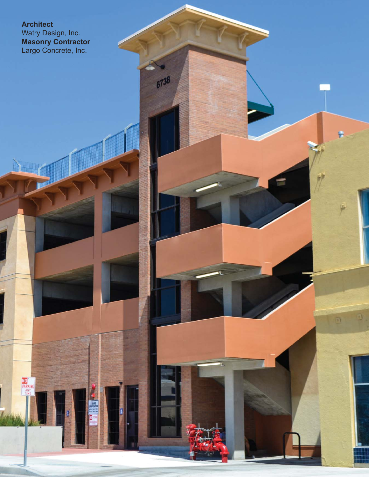## **Architect**

NO<br>PARKING<br>TIME

Watry Design, Inc. **Masonry Contractor** Largo Concrete, Inc.

6738

n